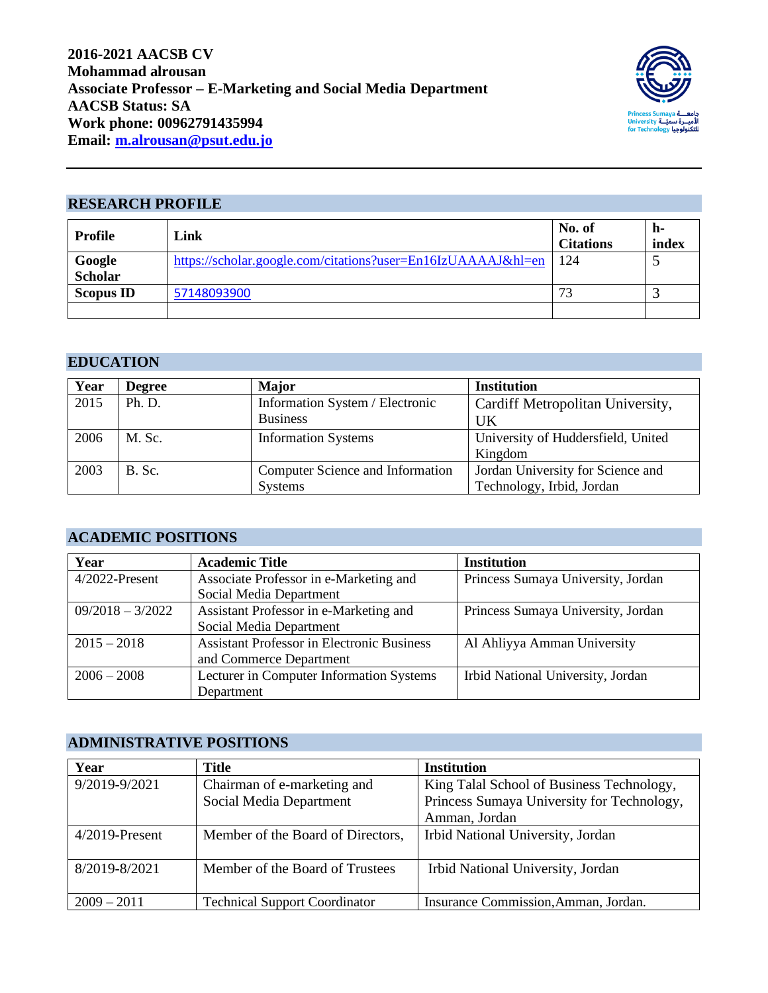

#### **RESEARCH PROFILE**

| Profile                  | Link                                                         | No. of<br><b>Citations</b> | h-<br>index |
|--------------------------|--------------------------------------------------------------|----------------------------|-------------|
| Google<br><b>Scholar</b> | https://scholar.google.com/citations?user=En16IzUAAAAJ&hl=en | 124                        |             |
| <b>Scopus ID</b>         | 57148093900                                                  | 73                         |             |
|                          |                                                              |                            |             |

## **EDUCATION**

| Year | <b>Degree</b> | <b>Major</b>                     | <b>Institution</b>                 |
|------|---------------|----------------------------------|------------------------------------|
| 2015 | Ph. D.        | Information System / Electronic  | Cardiff Metropolitan University,   |
|      |               | <b>Business</b>                  | UK                                 |
| 2006 | M. Sc.        | <b>Information Systems</b>       | University of Huddersfield, United |
|      |               |                                  | Kingdom                            |
| 2003 | B. Sc.        | Computer Science and Information | Jordan University for Science and  |
|      |               | <b>Systems</b>                   | Technology, Irbid, Jordan          |

### **ACADEMIC POSITIONS**

| Year               | <b>Academic Title</b>                                                        | <b>Institution</b>                 |
|--------------------|------------------------------------------------------------------------------|------------------------------------|
| $4/2022$ -Present  | Associate Professor in e-Marketing and<br>Social Media Department            | Princess Sumaya University, Jordan |
| $09/2018 - 3/2022$ | Assistant Professor in e-Marketing and<br>Social Media Department            | Princess Sumaya University, Jordan |
| $2015 - 2018$      | <b>Assistant Professor in Electronic Business</b><br>and Commerce Department | Al Ahliyya Amman University        |
| $2006 - 2008$      | Lecturer in Computer Information Systems<br>Department                       | Irbid National University, Jordan  |

### **ADMINISTRATIVE POSITIONS**

| Year              | Title                                | <b>Institution</b>                         |
|-------------------|--------------------------------------|--------------------------------------------|
| 9/2019-9/2021     | Chairman of e-marketing and          | King Talal School of Business Technology,  |
|                   | Social Media Department              | Princess Sumaya University for Technology, |
|                   |                                      | Amman, Jordan                              |
| $4/2019$ -Present | Member of the Board of Directors,    | Irbid National University, Jordan          |
| 8/2019-8/2021     | Member of the Board of Trustees      | Irbid National University, Jordan          |
| $2009 - 2011$     | <b>Technical Support Coordinator</b> | Insurance Commission, Amman, Jordan.       |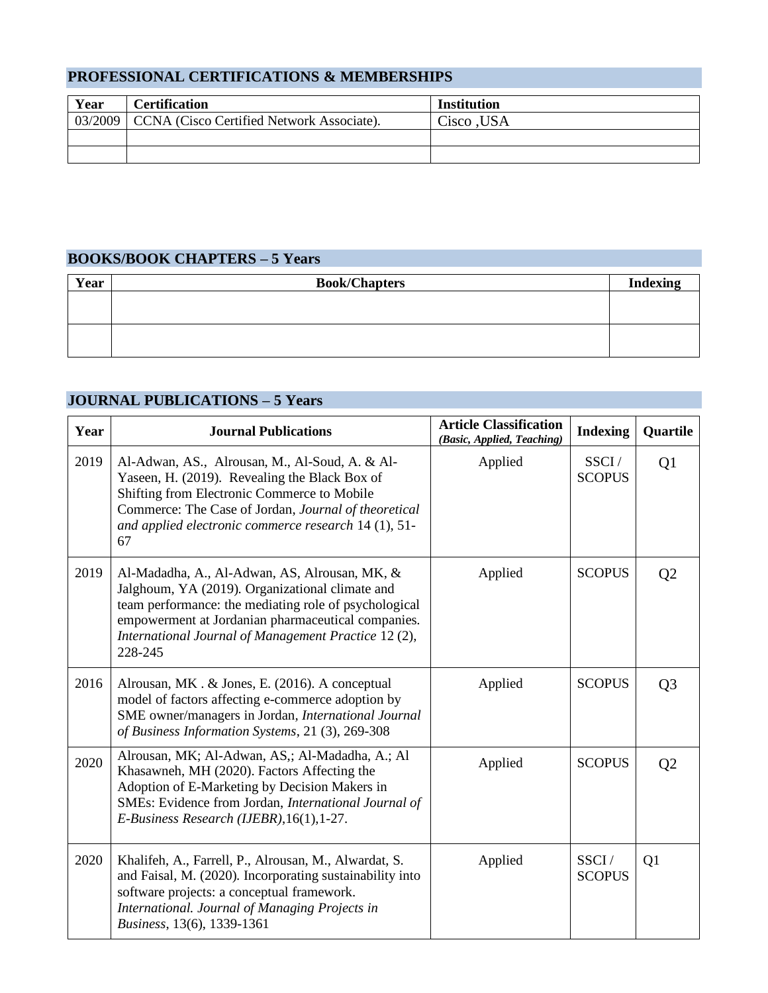### **PROFESSIONAL CERTIFICATIONS & MEMBERSHIPS**

| Year | <b>Certification</b>                                | <b>Institution</b> |
|------|-----------------------------------------------------|--------------------|
|      | 03/2009   CCNA (Cisco Certified Network Associate). | Cisco ,USA         |
|      |                                                     |                    |
|      |                                                     |                    |

# **BOOKS/BOOK CHAPTERS – 5 Years**

| Year | <b>Book/Chapters</b> | <b>Indexing</b> |
|------|----------------------|-----------------|
|      |                      |                 |
|      |                      |                 |
|      |                      |                 |
|      |                      |                 |

# **JOURNAL PUBLICATIONS – 5 Years**

| Year | <b>Journal Publications</b>                                                                                                                                                                                                                                                        | <b>Article Classification</b><br>(Basic, Applied, Teaching) | <b>Indexing</b>        | Quartile       |
|------|------------------------------------------------------------------------------------------------------------------------------------------------------------------------------------------------------------------------------------------------------------------------------------|-------------------------------------------------------------|------------------------|----------------|
| 2019 | Al-Adwan, AS., Alrousan, M., Al-Soud, A. & Al-<br>Yaseen, H. (2019). Revealing the Black Box of<br>Shifting from Electronic Commerce to Mobile<br>Commerce: The Case of Jordan, Journal of theoretical<br>and applied electronic commerce research 14 (1), 51-<br>67               | Applied                                                     | SSCI/<br><b>SCOPUS</b> | Q1             |
| 2019 | Al-Madadha, A., Al-Adwan, AS, Alrousan, MK, &<br>Jalghoum, YA (2019). Organizational climate and<br>team performance: the mediating role of psychological<br>empowerment at Jordanian pharmaceutical companies.<br>International Journal of Management Practice 12 (2),<br>228-245 | Applied                                                     | <b>SCOPUS</b>          | Q <sub>2</sub> |
| 2016 | Alrousan, MK. & Jones, E. (2016). A conceptual<br>model of factors affecting e-commerce adoption by<br>SME owner/managers in Jordan, International Journal<br>of Business Information Systems, 21 (3), 269-308                                                                     | Applied                                                     | <b>SCOPUS</b>          | Q <sub>3</sub> |
| 2020 | Alrousan, MK; Al-Adwan, AS,; Al-Madadha, A.; Al<br>Khasawneh, MH (2020). Factors Affecting the<br>Adoption of E-Marketing by Decision Makers in<br>SMEs: Evidence from Jordan, International Journal of<br>E-Business Research (IJEBR), 16(1), 1-27.                               | Applied                                                     | <b>SCOPUS</b>          | Q <sub>2</sub> |
| 2020 | Khalifeh, A., Farrell, P., Alrousan, M., Alwardat, S.<br>and Faisal, M. (2020). Incorporating sustainability into<br>software projects: a conceptual framework.<br>International. Journal of Managing Projects in<br>Business, 13(6), 1339-1361                                    | Applied                                                     | SSCI/<br><b>SCOPUS</b> | Q1             |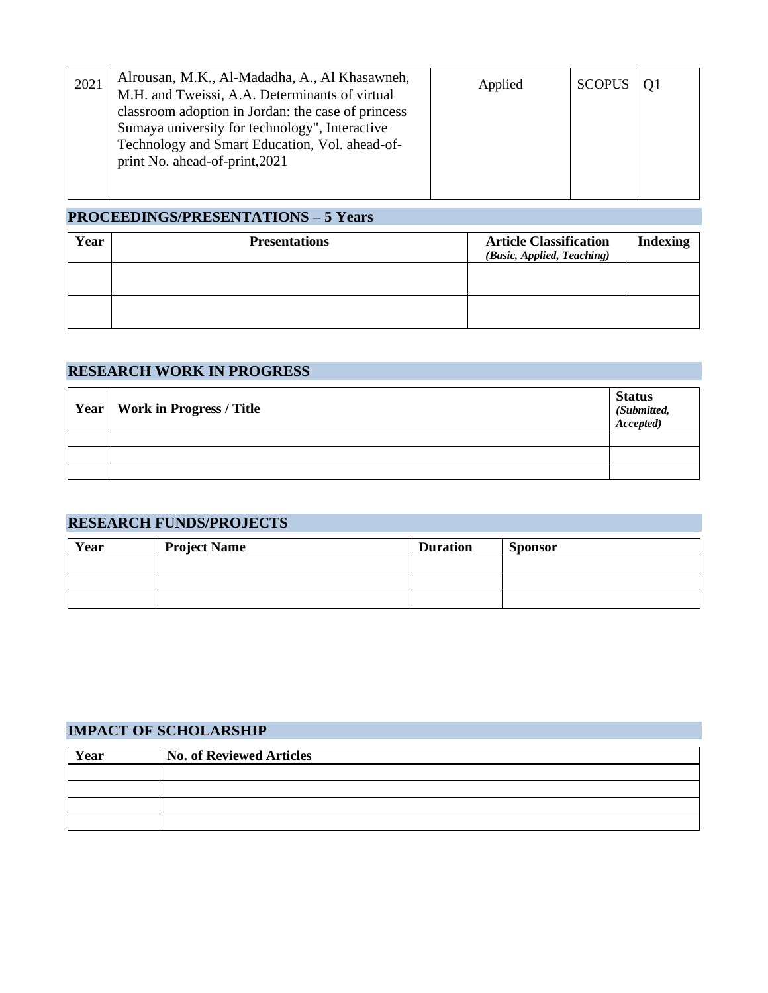| 2021 | Alrousan, M.K., Al-Madadha, A., Al Khasawneh,<br>M.H. and Tweissi, A.A. Determinants of virtual                                                                                          | Applied | SCOPUS   01 |  |
|------|------------------------------------------------------------------------------------------------------------------------------------------------------------------------------------------|---------|-------------|--|
|      | classroom adoption in Jordan: the case of princess<br>Sumaya university for technology", Interactive<br>Technology and Smart Education, Vol. ahead-of-<br>print No. ahead-of-print, 2021 |         |             |  |

## **PROCEEDINGS/PRESENTATIONS – 5 Years**

| Year | <b>Presentations</b> | <b>Article Classification</b><br>(Basic, Applied, Teaching) | Indexing |
|------|----------------------|-------------------------------------------------------------|----------|
|      |                      |                                                             |          |
|      |                      |                                                             |          |

#### **RESEARCH WORK IN PROGRESS**

| Year   Work in Progress / Title | <b>Status</b><br>Submitted,<br>Accepted) |
|---------------------------------|------------------------------------------|
|                                 |                                          |
|                                 |                                          |
|                                 |                                          |

### **RESEARCH FUNDS/PROJECTS**

| Year | <b>Project Name</b> | <b>Duration</b> | <b>Sponsor</b> |
|------|---------------------|-----------------|----------------|
|      |                     |                 |                |
|      |                     |                 |                |
|      |                     |                 |                |

# **IMPACT OF SCHOLARSHIP**

| Year | <b>No. of Reviewed Articles</b> |
|------|---------------------------------|
|      |                                 |
|      |                                 |
|      |                                 |
|      |                                 |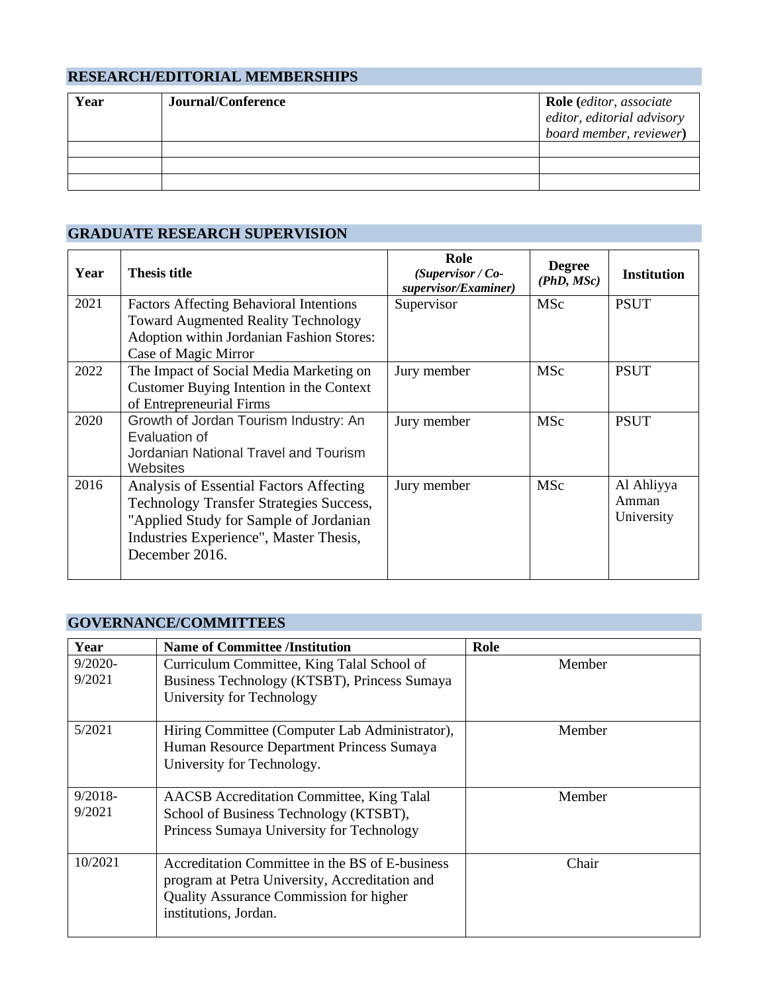# **RESEARCH/EDITORIAL MEMBERSHIPS**

| Year | Journal/Conference | <b>Role</b> (editor, associate<br>editor, editorial advisory<br>board member, reviewer) |
|------|--------------------|-----------------------------------------------------------------------------------------|
|      |                    |                                                                                         |
|      |                    |                                                                                         |
|      |                    |                                                                                         |

# **GRADUATE RESEARCH SUPERVISION**

| Year | <b>Thesis title</b>                                                                                                                                                                             | Role<br>(Supervisor / Co-<br>supervisor/Examiner) | <b>Degree</b><br>(PhD, MSc) | <b>Institution</b>                |
|------|-------------------------------------------------------------------------------------------------------------------------------------------------------------------------------------------------|---------------------------------------------------|-----------------------------|-----------------------------------|
| 2021 | <b>Factors Affecting Behavioral Intentions</b><br><b>Toward Augmented Reality Technology</b><br>Adoption within Jordanian Fashion Stores:<br>Case of Magic Mirror                               | Supervisor                                        | <b>MSc</b>                  | <b>PSUT</b>                       |
| 2022 | The Impact of Social Media Marketing on<br>Customer Buying Intention in the Context<br>of Entrepreneurial Firms                                                                                 | Jury member                                       | <b>MSc</b>                  | <b>PSUT</b>                       |
| 2020 | Growth of Jordan Tourism Industry: An<br>Evaluation of<br>Jordanian National Travel and Tourism<br>Websites                                                                                     | Jury member                                       | MSc                         | <b>PSUT</b>                       |
| 2016 | Analysis of Essential Factors Affecting<br><b>Technology Transfer Strategies Success,</b><br>"Applied Study for Sample of Jordanian<br>Industries Experience", Master Thesis,<br>December 2016. | Jury member                                       | <b>MSc</b>                  | Al Ahliyya<br>Amman<br>University |

# **GOVERNANCE/COMMITTEES**

| Year                 | <b>Name of Committee /Institution</b>                                                                                                                                        | Role   |
|----------------------|------------------------------------------------------------------------------------------------------------------------------------------------------------------------------|--------|
| $9/2020$ -<br>9/2021 | Curriculum Committee, King Talal School of<br>Business Technology (KTSBT), Princess Sumaya<br>University for Technology                                                      | Member |
| 5/2021               | Hiring Committee (Computer Lab Administrator),<br>Human Resource Department Princess Sumaya<br>University for Technology.                                                    | Member |
| $9/2018-$<br>9/2021  | <b>AACSB</b> Accreditation Committee, King Talal<br>School of Business Technology (KTSBT),<br>Princess Sumaya University for Technology                                      | Member |
| 10/2021              | Accreditation Committee in the BS of E-business<br>program at Petra University, Accreditation and<br><b>Quality Assurance Commission for higher</b><br>institutions, Jordan. | Chair  |